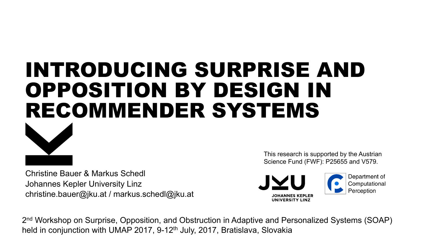# INTRODUCING SURPRISE AND OPPOSITION BY DESIGN IN RECOMMENDER SYSTEMS



Christine Bauer & Markus Schedl Johannes Kepler University Linz christine.bauer@jku.at / markus.schedl@jku.at This research is supported by the Austrian Science Fund (FWF): P25655 and V579.



2<sup>nd</sup> Workshop on Surprise, Opposition, and Obstruction in Adaptive and Personalized Systems (SOAP) held in conjunction with UMAP 2017, 9-12<sup>th</sup> July, 2017, Bratislava, Slovakia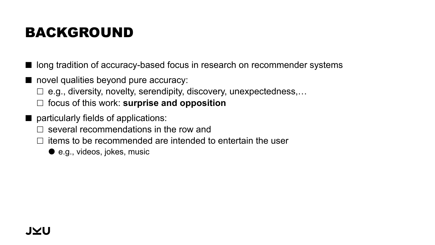## BACKGROUND

■ long tradition of accuracy-based focus in research on recommender systems

- novel qualities beyond pure accuracy:
	- $\Box$  e.g., diversity, novelty, serendipity, discovery, unexpectedness,...
	- £ focus of this work: **surprise and opposition**
- particularly fields of applications:
	- $\square$  several recommendations in the row and
	- $\Box$  items to be recommended are intended to entertain the user
		- e.g., videos, jokes, music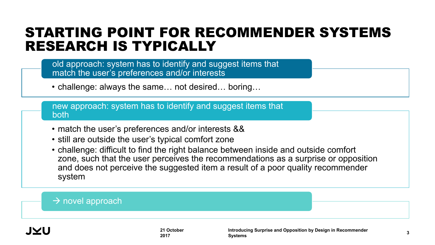### STARTING POINT FOR RECOMMENDER SYSTEMS RESEARCH IS TYPICALLY

| old approach: system has to identify and suggest items that |  |
|-------------------------------------------------------------|--|
| match the user's preferences and/or interests               |  |

• challenge: always the same... not desired... boring...

new approach: system has to identify and suggest items that both

- match the user's preferences and/or interests &&
- still are outside the user's typical comfort zone
- challenge: difficult to find the right balance between inside and outside comfort zone, such that the user perceives the recommendations as a surprise or opposition and does not perceive the suggested item a result of a poor quality recommender system

#### $\rightarrow$  novel approach

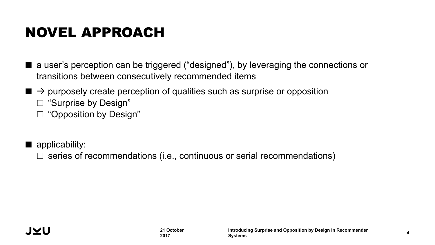## NOVEL APPROACH

- a user's perception can be triggered ("designed"), by leveraging the connections or transitions between consecutively recommended items
- $\blacksquare \rightarrow$  purposely create perception of qualities such as surprise or opposition
	- $\square$  "Surprise by Design"
	- $\square$  "Opposition by Design"

 $\blacksquare$  applicability:

 $\Box$  series of recommendations (i.e., continuous or serial recommendations)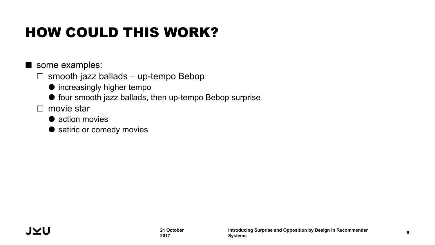## HOW COULD THIS WORK?

some examples:

- $\Box$  smooth jazz ballads up-tempo Bebop
	- $\bullet$  increasingly higher tempo
	- $\bullet$  four smooth jazz ballads, then up-tempo Bebop surprise
- $\square$  movie star
	- action movies
	- satiric or comedy movies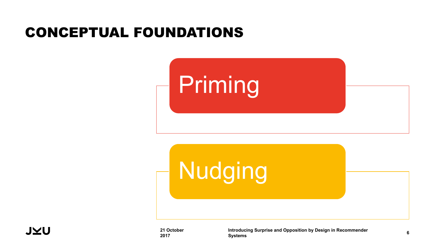### CONCEPTUAL FOUNDATIONS







**21 October 2017**

**Introducing Surprise and Opposition by Design in Recommender Systems <sup>6</sup>**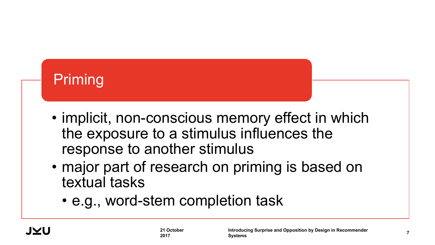## Priming

- implicit, non-conscious memory effect in which the exposure to a stimulus influences the response to another stimulus
- major part of research on priming is based on textual tasks
	- e.g., word-stem completion task

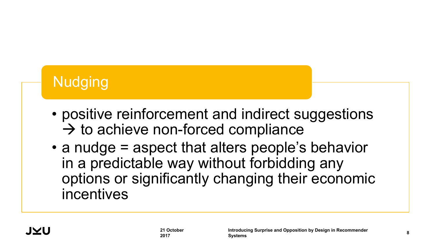## **Nudging**

- positive reinforcement and indirect suggestions  $\rightarrow$  to achieve non-forced compliance
- a nudge = aspect that alters people's behavior in a predictable way without forbidding any options or significantly changing their economic incentives

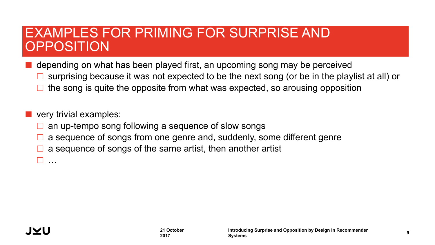### EXAMPLES FOR PRIMING FOR SURPRISE AND OPPOSITION

¢ depending on what has been played first, an upcoming song may be perceived

- £ surprising because it was not expected to be the next song (or be in the playlist at all) or
- the song is quite the opposite from what was expected, so arousing opposition

#### ¢ very trivial examples:

- an up-tempo song following a sequence of slow songs
- a sequence of songs from one genre and, suddenly, some different genre
- a sequence of songs of the same artist, then another artist

£ …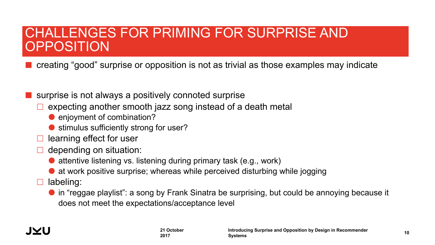### CHALLENGES FOR PRIMING FOR SURPRISE AND OPPOSITION

¢ creating "good" surprise or opposition is not as trivial as those examples may indicate

surprise is not always a positively connoted surprise

- expecting another smooth jazz song instead of a death metal
	- **e** enjoyment of combination?
	- stimulus sufficiently strong for user?
- learning effect for user
- $\Box$  depending on situation:
	- attentive listening vs. listening during primary task (e.g., work)
	- at work positive surprise; whereas while perceived disturbing while jogging
- $\square$  labeling:
	- in "reggae playlist": a song by Frank Sinatra be surprising, but could be annoying because it does not meet the expectations/acceptance level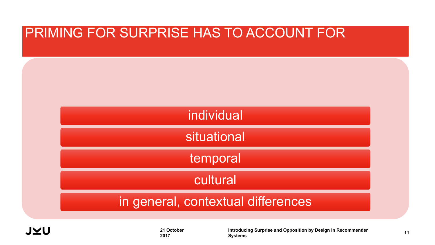

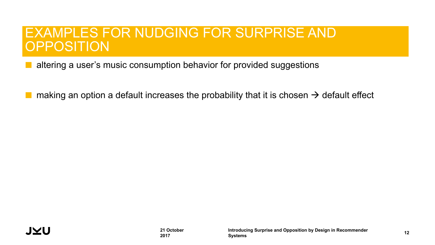### EXAMPLES FOR NUDGING FOR SURPRISE AND **OPPOSITION**

¢ altering a user's music consumption behavior for provided suggestions

making an option a default increases the probability that it is chosen  $\rightarrow$  default effect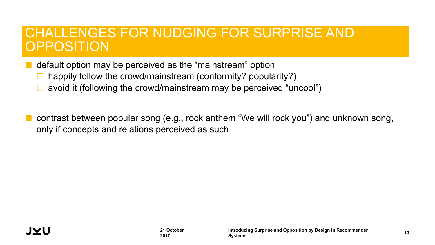### CHALLENGES FOR NUDGING FOR SURPRISE AND OPPOSITION

¢ default option may be perceived as the "mainstream" option

- happily follow the crowd/mainstream (conformity? popularity?)
- avoid it (following the crowd/mainstream may be perceived "uncool")
- ¢ contrast between popular song (e.g., rock anthem "We will rock you") and unknown song, only if concepts and relations perceived as such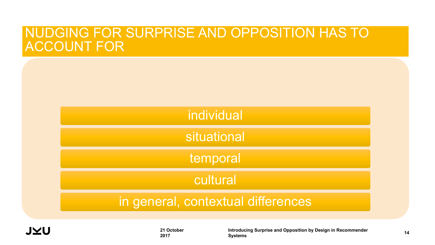### NUDGING FOR SURPRISE AND OPPOSITION HAS TO ACCOUNT FOR

| individual                         |  |
|------------------------------------|--|
| situational                        |  |
| temporal                           |  |
| cultural                           |  |
| in general, contextual differences |  |

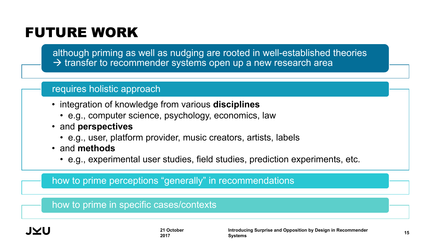## FUTURE WORK

although priming as well as nudging are rooted in well-established theories  $\rightarrow$  transfer to recommender systems open up a new research area

#### requires holistic approach

- integration of knowledge from various **disciplines**
	- e.g., computer science, psychology, economics, law
- and **perspectives**
	- e.g., user, platform provider, music creators, artists, labels
- and **methods**
	- e.g., experimental user studies, field studies, prediction experiments, etc.

how to prime perceptions "generally" in recommendations

how to prime in specific cases/contexts

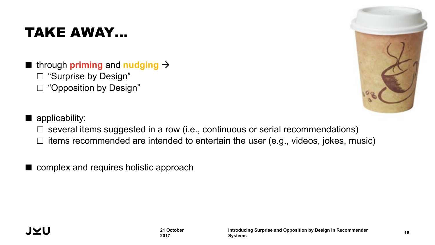## TAKE AWAY…

- $\blacksquare$  through **priming** and **nudging**  $\rightarrow$ 
	- $\square$  "Surprise by Design"
	- □ "Opposition by Design"



- $\blacksquare$  applicability:
	- $\Box$  several items suggested in a row (i.e., continuous or serial recommendations)
	- $\Box$  items recommended are intended to entertain the user (e.g., videos, jokes, music)
- complex and requires holistic approach